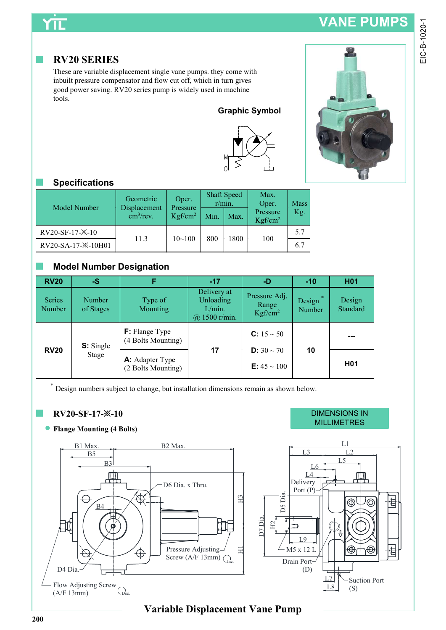# YΠ

### ■ RV20 SERIES

These are variable displacement single vane pumps. they come with inbuilt pressure compensator and flow cut off, which in turn gives good power saving. RV20 series pump is widely used in machine tools.





### ■ Specifications

| Model Number       | Geometric<br>Displacement<br>$\text{cm}^3/\text{rev}$ . | Oper.<br>Pressure<br>Kgf/cm <sup>2</sup> | Min. | <b>Shaft Speed</b><br>r/min.<br>Max. | Max.<br>Oper.<br>Pressure<br>Kgf/cm <sup>2</sup> | <b>Mass</b><br>Kg. |
|--------------------|---------------------------------------------------------|------------------------------------------|------|--------------------------------------|--------------------------------------------------|--------------------|
| RV20-SF-17-*-10    | 11.3                                                    | $10 - 100$                               | 800  | 1800                                 |                                                  | 5.7                |
| RV20-SA-17-*-10H01 |                                                         |                                          |      |                                      | 100                                              | 6.7                |

### ■ Model Number Designation

| <b>RV20</b>      | $-S$                |                                              | $-17$                                               | -D                                                | $-10$            | H <sub>0</sub> 1             |
|------------------|---------------------|----------------------------------------------|-----------------------------------------------------|---------------------------------------------------|------------------|------------------------------|
| Series<br>Number | Number<br>of Stages | Type of<br><b>Mounting</b>                   | Delivery at<br>Unloading<br>L/min.<br>@ 1500 r/min. | Pressure Adj.<br>Range<br>Kgf/cm <sup>2</sup>     | Design<br>Number | Design<br>Standard           |
|                  | <b>S</b> : Single   | <b>F:</b> Flange Type<br>(4 Bolts Mounting)  |                                                     | <b>C:</b> $15 \sim 50$                            |                  | $\qquad \qquad \blacksquare$ |
| <b>RV20</b>      | Stage               | <b>A:</b> Adapter Type<br>(2 Bolts Mounting) | 17                                                  | <b>D:</b> $30 \sim 70$<br><b>E:</b> $45 \sim 100$ | 10               | H <sub>0</sub> 1             |

Design numbers subject to change, but installation dimensions remain as shown below.

### ■ RV20-SF-17-※-10

### Flange Mounting (4 Bolts)



#### DIMENSIONS IN MILLIMETRES



## Variable Displacement Vane Pump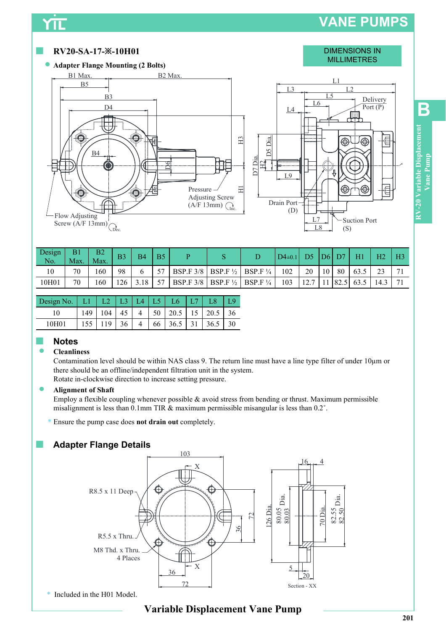# VANE PUMPS

 $\angle$  L8  $\angle$  (S)

 $(S)$ 



 $L7 \rightarrow$  Suction Port 201 RV-20 Variable Displacement<br>Vane Pump<br>201 B

| Design<br>No. | B <sub>1</sub><br>Max. | B <sub>2</sub><br>Max. | B <sub>3</sub> | B <sub>4</sub> | B <sub>5</sub> | D                                 |                     | $D4\pm0.1$ | D5              | D <sub>6</sub>  |       | HI   | H <sub>2</sub> | H <sub>3</sub> |
|---------------|------------------------|------------------------|----------------|----------------|----------------|-----------------------------------|---------------------|------------|-----------------|-----------------|-------|------|----------------|----------------|
| 10            | 70                     | 160                    | 98             |                | 57             | BSP.F $3/8$   BSP.F $\frac{1}{2}$ | BSP.F $\frac{1}{4}$ | 102        | 20              | 10 <sub>1</sub> | 80    | 63.5 | 23             | 71             |
| 10H01         | 70                     | 160                    | 126            | 3.18           | cπ             | BSP.F $3/8$   BSP.F $\frac{1}{2}$ | BSP.F $\frac{1}{4}$ | 103        | $\sqrt{2}$<br>. |                 | 182.5 | 63.5 | 14.3           | 71             |

Pressure  $\overline{\Box}$ Adjusting Screw  $(A/F 13mm)$ 

 $\frac{C_{\text{Dec}}}{C_{\text{Dec}}}$  (D)

Drain Port (D)

| Design No.   L1   L2   L3   L4   L5   L6   L7 |           |      |  |  |                                              |  |
|-----------------------------------------------|-----------|------|--|--|----------------------------------------------|--|
|                                               |           |      |  |  | $149$   104   45   4   50   20.5   15   20.5 |  |
| 10H01                                         | $155$ 119 | 36 l |  |  | 4   66   36.5   31   36.5                    |  |

## ■ Notes and the Notes and the Notes and the Notes and the Notes and the Notes and the Notes and the Notes and the No

#### **Cleanliness**

Contamination level should be within NAS class 9. The return line must have a line type filter of under 10µm or there should be an offline/independent filtration unit in the system. Rotate in-clockwise direction to increase setting pressure.

#### **Alignment of Shaft**

Flow Adjusting Screw ( $A/F$  13mm)

Employ a flexible coupling whenever possible  $\&$  avoid stress from bending or thrust. Maximum permissible misalignment is less than 0.1mm TIR & maximum permissible misangular is less than 0.2˚.

Ensure the pump case does not drain out completely.

# ■ Adapter Flange Details<br>
103



\* Included in the H01 Model.

# Variable Displacement Vane Pump 201